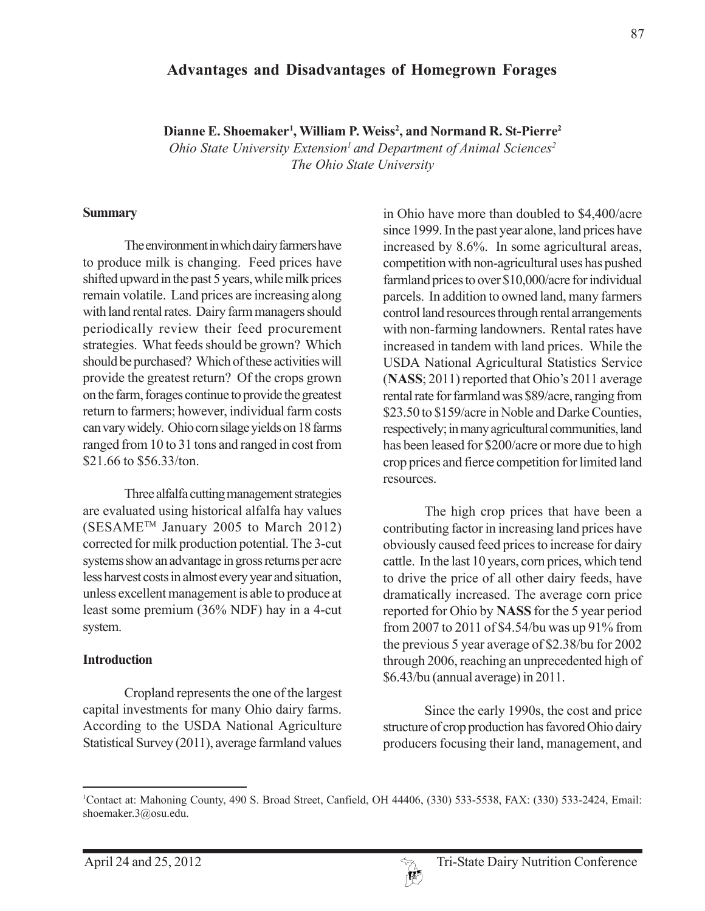## **Advantages and Disadvantages of Homegrown Forages**

Dianne E. Shoemaker<sup>1</sup>, William P. Weiss<sup>2</sup>, and Normand R. St-Pierre<sup>2</sup>

*Ohio State University Extension<sup>1</sup> and Department of Animal Sciences<sup>2</sup> The Ohio State University*

#### **Summary**

The environment in which dairy farmers have to produce milk is changing. Feed prices have shifted upward in the past 5 years, while milk prices remain volatile. Land prices are increasing along with land rental rates. Dairy farm managers should periodically review their feed procurement strategies. What feeds should be grown? Which should be purchased? Which of these activities will provide the greatest return? Of the crops grown on the farm, forages continue to provide the greatest return to farmers; however, individual farm costs can vary widely. Ohio corn silage yields on 18 farms ranged from 10 to 31 tons and ranged in cost from \$21.66 to \$56.33/ton.

Three alfalfa cutting management strategies are evaluated using historical alfalfa hay values (SESAME<sup>TM</sup> January 2005 to March 2012) corrected for milk production potential. The 3-cut systems show an advantage in gross returns per acre less harvest costs in almost every year and situation, unless excellent management is able to produce at least some premium (36% NDF) hay in a 4-cut system.

#### **Introduction**

Cropland represents the one of the largest capital investments for many Ohio dairy farms. According to the USDA National Agriculture Statistical Survey (2011), average farmland values in Ohio have more than doubled to \$4,400/acre since 1999. In the past year alone, land prices have increased by 8.6%. In some agricultural areas, competition with non-agricultural uses has pushed farmland prices to over \$10,000/acre for individual parcels. In addition to owned land, many farmers control land resources through rental arrangements with non-farming landowners. Rental rates have increased in tandem with land prices. While the USDA National Agricultural Statistics Service (**NASS**; 2011) reported that Ohio's 2011 average rental rate for farmland was \$89/acre, ranging from \$23.50 to \$159/acre in Noble and Darke Counties, respectively; in many agricultural communities, land has been leased for \$200/acre or more due to high crop prices and fierce competition for limited land resources.

The high crop prices that have been a contributing factor in increasing land prices have obviously caused feed prices to increase for dairy cattle. In the last 10 years, corn prices, which tend to drive the price of all other dairy feeds, have dramatically increased. The average corn price reported for Ohio by **NASS** for the 5 year period from 2007 to 2011 of \$4.54/bu was up 91% from the previous 5 year average of \$2.38/bu for 2002 through 2006, reaching an unprecedented high of \$6.43/bu (annual average) in 2011.

Since the early 1990s, the cost and price structure of crop production has favored Ohio dairy producers focusing their land, management, and

<sup>1</sup> Contact at: Mahoning County, 490 S. Broad Street, Canfield, OH 44406, (330) 533-5538, FAX: (330) 533-2424, Email: shoemaker.3@osu.edu.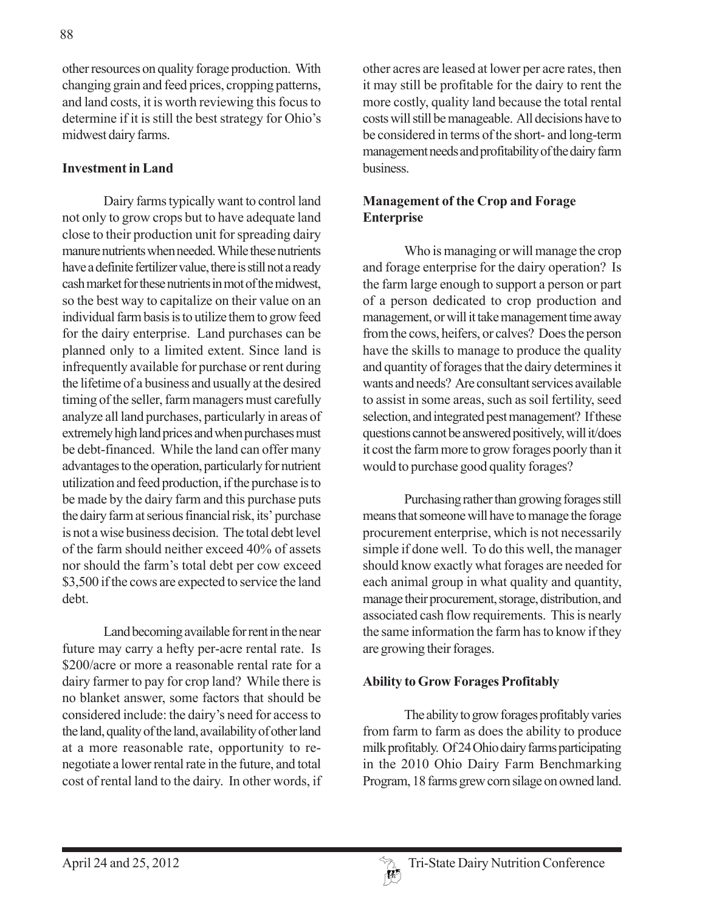other resources on quality forage production. With changing grain and feed prices, cropping patterns, and land costs, it is worth reviewing this focus to determine if it is still the best strategy for Ohio's midwest dairy farms.

### **Investment in Land**

Dairy farms typically want to control land not only to grow crops but to have adequate land close to their production unit for spreading dairy manure nutrients when needed. While these nutrients have a definite fertilizer value, there is still not a ready cash market for these nutrients in mot of the midwest, so the best way to capitalize on their value on an individual farm basis is to utilize them to grow feed for the dairy enterprise. Land purchases can be planned only to a limited extent. Since land is infrequently available for purchase or rent during the lifetime of a business and usually at the desired timing of the seller, farm managers must carefully analyze all land purchases, particularly in areas of extremely high land prices and when purchases must be debt-financed. While the land can offer many advantages to the operation, particularly for nutrient utilization and feed production, if the purchase is to be made by the dairy farm and this purchase puts the dairy farm at serious financial risk, its' purchase is not a wise business decision. The total debt level of the farm should neither exceed 40% of assets nor should the farm's total debt per cow exceed \$3,500 if the cows are expected to service the land debt.

Land becoming available for rent in the near future may carry a hefty per-acre rental rate. Is \$200/acre or more a reasonable rental rate for a dairy farmer to pay for crop land? While there is no blanket answer, some factors that should be considered include: the dairy's need for access to the land, quality of the land, availability of other land at a more reasonable rate, opportunity to renegotiate a lower rental rate in the future, and total cost of rental land to the dairy. In other words, if other acres are leased at lower per acre rates, then it may still be profitable for the dairy to rent the more costly, quality land because the total rental costs will still be manageable. All decisions have to be considered in terms of the short- and long-term management needs and profitability of the dairy farm business.

## **Management of the Crop and Forage Enterprise**

Who is managing or will manage the crop and forage enterprise for the dairy operation? Is the farm large enough to support a person or part of a person dedicated to crop production and management, or will it take management time away from the cows, heifers, or calves? Does the person have the skills to manage to produce the quality and quantity of forages that the dairy determines it wants and needs? Are consultant services available to assist in some areas, such as soil fertility, seed selection, and integrated pest management? If these questions cannot be answered positively, will it/does it cost the farm more to grow forages poorly than it would to purchase good quality forages?

Purchasing rather than growing forages still means that someone will have to manage the forage procurement enterprise, which is not necessarily simple if done well. To do this well, the manager should know exactly what forages are needed for each animal group in what quality and quantity, manage their procurement, storage, distribution, and associated cash flow requirements. This is nearly the same information the farm has to know if they are growing their forages.

### **Ability to Grow Forages Profitably**

The ability to grow forages profitably varies from farm to farm as does the ability to produce milk profitably. Of 24 Ohio dairy farms participating in the 2010 Ohio Dairy Farm Benchmarking Program, 18 farms grew corn silage on owned land.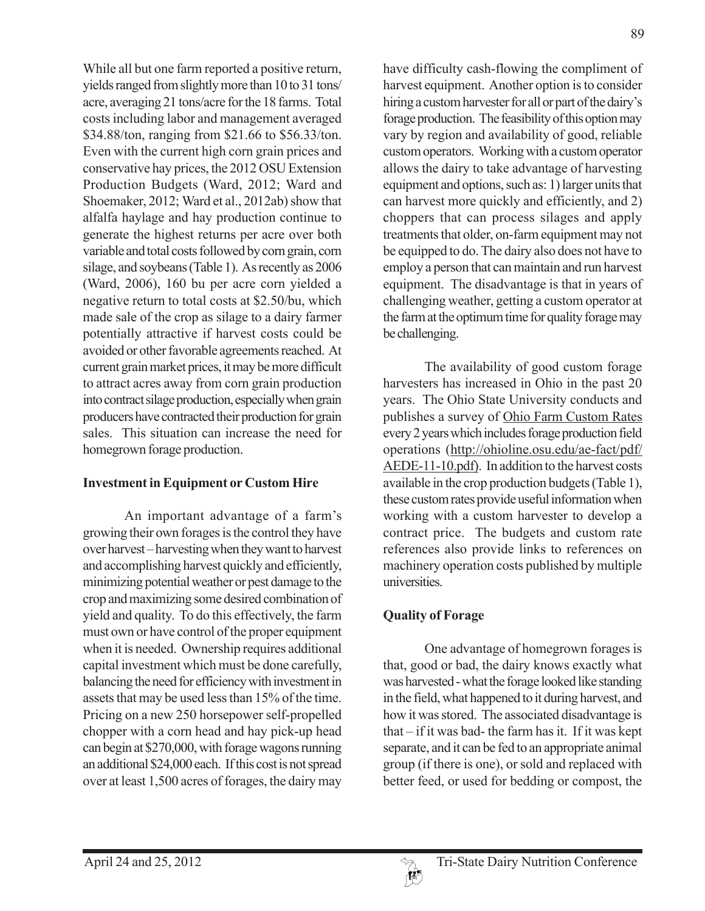While all but one farm reported a positive return, yields ranged from slightly more than 10 to 31 tons/ acre, averaging 21 tons/acre for the 18 farms. Total costs including labor and management averaged \$34.88/ton, ranging from \$21.66 to \$56.33/ton. Even with the current high corn grain prices and conservative hay prices, the 2012 OSU Extension Production Budgets (Ward, 2012; Ward and Shoemaker, 2012; Ward et al., 2012ab) show that alfalfa haylage and hay production continue to generate the highest returns per acre over both variable and total costs followed by corn grain, corn silage, and soybeans (Table 1). As recently as 2006 (Ward, 2006), 160 bu per acre corn yielded a negative return to total costs at \$2.50/bu, which made sale of the crop as silage to a dairy farmer potentially attractive if harvest costs could be avoided or other favorable agreements reached. At current grain market prices, it may be more difficult to attract acres away from corn grain production into contract silage production, especially when grain producers have contracted their production for grain sales. This situation can increase the need for homegrown forage production.

### **Investment in Equipment or Custom Hire**

An important advantage of a farm's growing their own forages is the control they have over harvest – harvesting when they want to harvest and accomplishing harvest quickly and efficiently, minimizing potential weather or pest damage to the crop and maximizing some desired combination of yield and quality. To do this effectively, the farm must own or have control of the proper equipment when it is needed. Ownership requires additional capital investment which must be done carefully, balancing the need for efficiency with investment in assets that may be used less than 15% of the time. Pricing on a new 250 horsepower self-propelled chopper with a corn head and hay pick-up head can begin at \$270,000, with forage wagons running an additional \$24,000 each. If this cost is not spread over at least 1,500 acres of forages, the dairy may

have difficulty cash-flowing the compliment of harvest equipment. Another option is to consider hiring a custom harvester for all or part of the dairy's forage production. The feasibility of this option may vary by region and availability of good, reliable custom operators. Working with a custom operator allows the dairy to take advantage of harvesting equipment and options, such as: 1) larger units that can harvest more quickly and efficiently, and 2) choppers that can process silages and apply treatments that older, on-farm equipment may not be equipped to do. The dairy also does not have to employ a person that can maintain and run harvest equipment. The disadvantage is that in years of challenging weather, getting a custom operator at the farm at the optimum time for quality forage may be challenging.

The availability of good custom forage harvesters has increased in Ohio in the past 20 years. The Ohio State University conducts and publishes a survey of Ohio Farm Custom Rates every 2 years which includes forage production field operations (http://ohioline.osu.edu/ae-fact/pdf/ AEDE-11-10.pdf). In addition to the harvest costs available in the crop production budgets (Table 1), these custom rates provide useful information when working with a custom harvester to develop a contract price. The budgets and custom rate references also provide links to references on machinery operation costs published by multiple universities.

# **Quality of Forage**

One advantage of homegrown forages is that, good or bad, the dairy knows exactly what was harvested - what the forage looked like standing in the field, what happened to it during harvest, and how it was stored. The associated disadvantage is that – if it was bad- the farm has it. If it was kept separate, and it can be fed to an appropriate animal group (if there is one), or sold and replaced with better feed, or used for bedding or compost, the

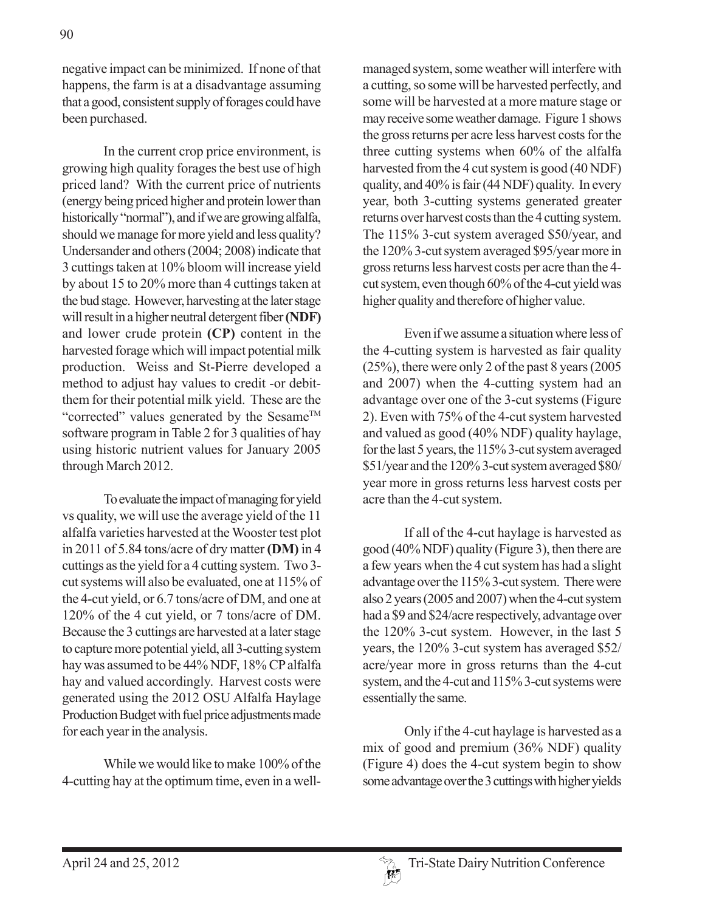negative impact can be minimized. If none of that happens, the farm is at a disadvantage assuming that a good, consistent supply of forages could have been purchased.

In the current crop price environment, is growing high quality forages the best use of high priced land? With the current price of nutrients (energy being priced higher and protein lower than historically "normal"), and if we are growing alfalfa, should we manage for more yield and less quality? Undersander and others (2004; 2008) indicate that 3 cuttings taken at 10% bloom will increase yield by about 15 to 20% more than 4 cuttings taken at the bud stage. However, harvesting at the later stage will result in a higher neutral detergent fiber **(NDF)** and lower crude protein **(CP)** content in the harvested forage which will impact potential milk production. Weiss and St-Pierre developed a method to adjust hay values to credit -or debitthem for their potential milk yield. These are the "corrected" values generated by the Sesame<sup>TM</sup> software program in Table 2 for 3 qualities of hay using historic nutrient values for January 2005 through March 2012.

To evaluate the impact of managing for yield vs quality, we will use the average yield of the 11 alfalfa varieties harvested at the Wooster test plot in 2011 of 5.84 tons/acre of dry matter **(DM)** in 4 cuttings as the yield for a 4 cutting system. Two 3 cut systems will also be evaluated, one at 115% of the 4-cut yield, or 6.7 tons/acre of DM, and one at 120% of the 4 cut yield, or 7 tons/acre of DM. Because the 3 cuttings are harvested at a later stage to capture more potential yield, all 3-cutting system hay was assumed to be 44% NDF, 18% CP alfalfa hay and valued accordingly. Harvest costs were generated using the 2012 OSU Alfalfa Haylage Production Budget with fuel price adjustments made for each year in the analysis.

While we would like to make 100% of the 4-cutting hay at the optimum time, even in a wellmanaged system, some weather will interfere with a cutting, so some will be harvested perfectly, and some will be harvested at a more mature stage or may receive some weather damage. Figure 1 shows the gross returns per acre less harvest costs for the three cutting systems when 60% of the alfalfa harvested from the 4 cut system is good (40 NDF) quality, and 40% is fair (44 NDF) quality. In every year, both 3-cutting systems generated greater returns over harvest costs than the 4 cutting system. The 115% 3-cut system averaged \$50/year, and the 120% 3-cut system averaged \$95/year more in gross returns less harvest costs per acre than the 4 cut system, even though 60% of the 4-cut yield was higher quality and therefore of higher value.

Even if we assume a situation where less of the 4-cutting system is harvested as fair quality (25%), there were only 2 of the past 8 years (2005 and 2007) when the 4-cutting system had an advantage over one of the 3-cut systems (Figure 2). Even with 75% of the 4-cut system harvested and valued as good (40% NDF) quality haylage, for the last 5 years, the 115% 3-cut system averaged \$51/year and the 120% 3-cut system averaged \$80/ year more in gross returns less harvest costs per acre than the 4-cut system.

If all of the 4-cut haylage is harvested as good (40% NDF) quality (Figure 3), then there are a few years when the 4 cut system has had a slight advantage over the 115% 3-cut system. There were also 2 years (2005 and 2007) when the 4-cut system had a \$9 and \$24/acre respectively, advantage over the 120% 3-cut system. However, in the last 5 years, the 120% 3-cut system has averaged \$52/ acre/year more in gross returns than the 4-cut system, and the 4-cut and 115% 3-cut systems were essentially the same.

Only if the 4-cut haylage is harvested as a mix of good and premium (36% NDF) quality (Figure 4) does the 4-cut system begin to show some advantage over the 3 cuttings with higher yields

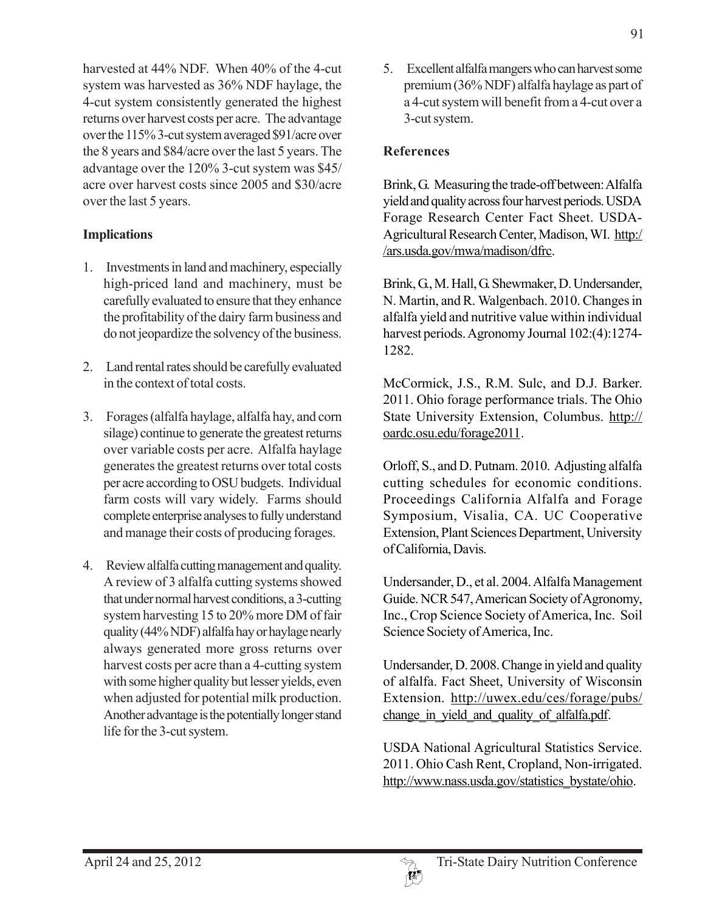harvested at 44% NDF. When 40% of the 4-cut system was harvested as 36% NDF haylage, the 4-cut system consistently generated the highest returns over harvest costs per acre. The advantage over the 115% 3-cut system averaged \$91/acre over the 8 years and \$84/acre over the last 5 years. The advantage over the 120% 3-cut system was \$45/ acre over harvest costs since 2005 and \$30/acre over the last 5 years.

## **Implications**

- 1. Investments in land and machinery, especially high-priced land and machinery, must be carefully evaluated to ensure that they enhance the profitability of the dairy farm business and do not jeopardize the solvency of the business.
- 2. Land rental rates should be carefully evaluated in the context of total costs.
- 3. Forages (alfalfa haylage, alfalfa hay, and corn silage) continue to generate the greatest returns over variable costs per acre. Alfalfa haylage generates the greatest returns over total costs per acre according to OSU budgets. Individual farm costs will vary widely. Farms should complete enterprise analyses to fully understand and manage their costs of producing forages.
- 4. Review alfalfa cutting management and quality. A review of 3 alfalfa cutting systems showed that under normal harvest conditions, a 3-cutting system harvesting 15 to 20% more DM of fair quality (44% NDF) alfalfa hay or haylage nearly always generated more gross returns over harvest costs per acre than a 4-cutting system with some higher quality but lesser yields, even when adjusted for potential milk production. Another advantage is the potentially longer stand life for the 3-cut system.

5. Excellent alfalfa mangers who can harvest some premium (36% NDF) alfalfa haylage as part of a 4-cut system will benefit from a 4-cut over a 3-cut system.

## **References**

Brink, G. Measuring the trade-off between: Alfalfa yield and quality across four harvest periods. USDA Forage Research Center Fact Sheet. USDA-Agricultural Research Center, Madison, WI. http:/ /ars.usda.gov/mwa/madison/dfrc.

Brink, G., M. Hall, G. Shewmaker, D. Undersander, N. Martin, and R. Walgenbach. 2010. Changes in alfalfa yield and nutritive value within individual harvest periods. Agronomy Journal 102:(4):1274- 1282.

McCormick, J.S., R.M. Sulc, and D.J. Barker. 2011. Ohio forage performance trials. The Ohio State University Extension, Columbus. http:// oardc.osu.edu/forage2011.

Orloff, S., and D. Putnam. 2010. Adjusting alfalfa cutting schedules for economic conditions. Proceedings California Alfalfa and Forage Symposium, Visalia, CA. UC Cooperative Extension, Plant Sciences Department, University of California, Davis.

Undersander, D., et al. 2004. Alfalfa Management Guide. NCR 547, American Society of Agronomy, Inc., Crop Science Society of America, Inc. Soil Science Society of America, Inc.

Undersander, D. 2008. Change in yield and quality of alfalfa. Fact Sheet, University of Wisconsin Extension. http://uwex.edu/ces/forage/pubs/ change in yield and quality of alfalfa.pdf.

USDA National Agricultural Statistics Service. 2011. Ohio Cash Rent, Cropland, Non-irrigated. http://www.nass.usda.gov/statistics\_bystate/ohio.

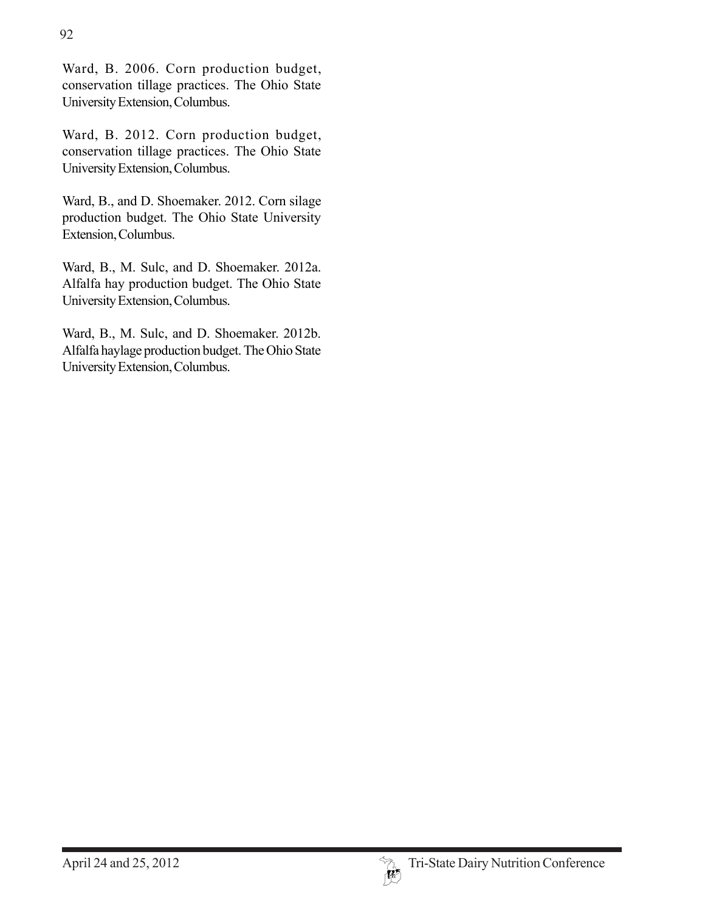Ward, B. 2006. Corn production budget, conservation tillage practices. The Ohio State University Extension, Columbus.

Ward, B. 2012. Corn production budget, conservation tillage practices. The Ohio State University Extension, Columbus.

Ward, B., and D. Shoemaker. 2012. Corn silage production budget. The Ohio State University Extension, Columbus.

Ward, B., M. Sulc, and D. Shoemaker. 2012a. Alfalfa hay production budget. The Ohio State University Extension, Columbus.

Ward, B., M. Sulc, and D. Shoemaker. 2012b. Alfalfa haylage production budget. The Ohio State University Extension, Columbus.

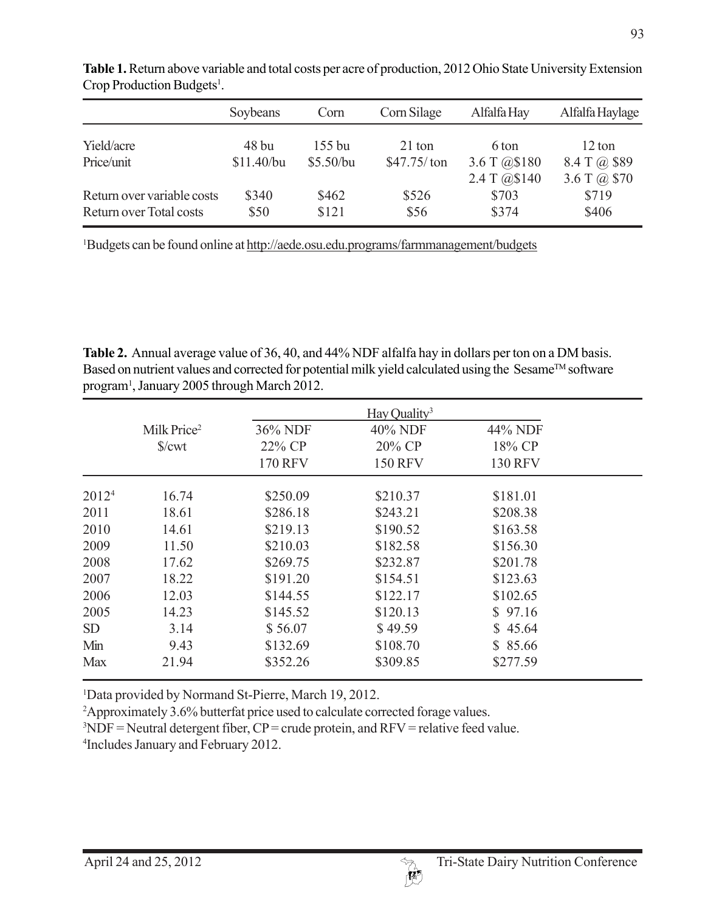|                            | Soybeans              | Corn                | Corn Silage             | Alfalfa Hay                  | Alfalfa Haylage        |
|----------------------------|-----------------------|---------------------|-------------------------|------------------------------|------------------------|
| Yield/acre<br>Price/unit   | $48$ bu<br>\$11.40/bu | 155 bu<br>\$5.50/bu | 21 ton<br>$$47.75/$ ton | 6 ton                        | 12 ton<br>8.4 T @ \$89 |
|                            |                       |                     |                         | 3.6 T @\$180<br>2.4 T @\$140 | 3.6 T $(a)$ \$70       |
| Return over variable costs | \$340                 | \$462               | \$526                   | \$703                        | \$719                  |
| Return over Total costs    | \$50                  | \$121               | \$56                    | \$374                        | \$406                  |

**Table 1.** Return above variable and total costs per acre of production, 2012 Ohio State University Extension Crop Production Budgets<sup>1</sup>.

<sup>1</sup>Budgets can be found online at http://aede.osu.edu.programs/farmmanagement/budgets

**Table 2.** Annual average value of 36, 40, and 44% NDF alfalfa hay in dollars per ton on a DM basis. Based on nutrient values and corrected for potential milk yield calculated using the Sesame™ software program1 , January 2005 through March 2012.

|                   |                         |                | Hay Quality <sup>3</sup> |                |  |
|-------------------|-------------------------|----------------|--------------------------|----------------|--|
|                   | Milk Price <sup>2</sup> | 36% NDF        | 40% NDF                  | 44% NDF        |  |
|                   | $\sqrt{\text{cwt}}$     | 22% CP         | 20% CP                   | 18% CP         |  |
|                   |                         | <b>170 RFV</b> | <b>150 RFV</b>           | <b>130 RFV</b> |  |
| 2012 <sup>4</sup> | 16.74                   | \$250.09       | \$210.37                 | \$181.01       |  |
| 2011              | 18.61                   | \$286.18       | \$243.21                 | \$208.38       |  |
| 2010              | 14.61                   | \$219.13       | \$190.52                 | \$163.58       |  |
| 2009              | 11.50                   | \$210.03       | \$182.58                 | \$156.30       |  |
| 2008              | 17.62                   | \$269.75       | \$232.87                 | \$201.78       |  |
| 2007              | 18.22                   | \$191.20       | \$154.51                 | \$123.63       |  |
| 2006              | 12.03                   | \$144.55       | \$122.17                 | \$102.65       |  |
| 2005              | 14.23                   | \$145.52       | \$120.13                 | \$97.16        |  |
| <b>SD</b>         | 3.14                    | \$56.07        | \$49.59                  | \$45.64        |  |
| Min               | 9.43                    | \$132.69       | \$108.70                 | \$85.66        |  |
| <b>Max</b>        | 21.94                   | \$352.26       | \$309.85                 | \$277.59       |  |

<sup>1</sup>Data provided by Normand St-Pierre, March 19, 2012.

2 Approximately 3.6% butterfat price used to calculate corrected forage values.

 $3NDF$  = Neutral detergent fiber,  $CP$  = crude protein, and RFV = relative feed value.

4 Includes January and February 2012.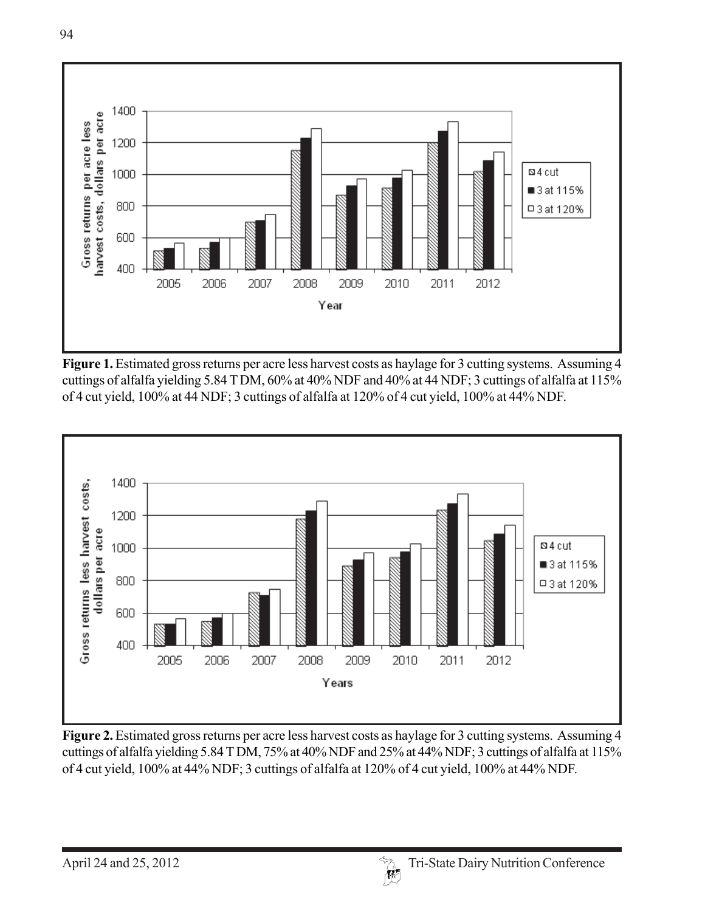

**Figure 1.** Estimated gross returns per acre less harvest costs as haylage for 3 cutting systems. Assuming 4 cuttings of alfalfa yielding 5.84 T DM, 60% at 40% NDF and 40% at 44 NDF; 3 cuttings of alfalfa at 115% of 4 cut yield, 100% at 44 NDF; 3 cuttings of alfalfa at 120% of 4 cut yield, 100% at 44% NDF.



**Figure 2.** Estimated gross returns per acre less harvest costs as haylage for 3 cutting systems. Assuming 4 cuttings of alfalfa yielding 5.84 T DM, 75% at 40% NDF and 25% at 44% NDF; 3 cuttings of alfalfa at 115% of 4 cut yield, 100% at 44% NDF; 3 cuttings of alfalfa at 120% of 4 cut yield, 100% at 44% NDF.